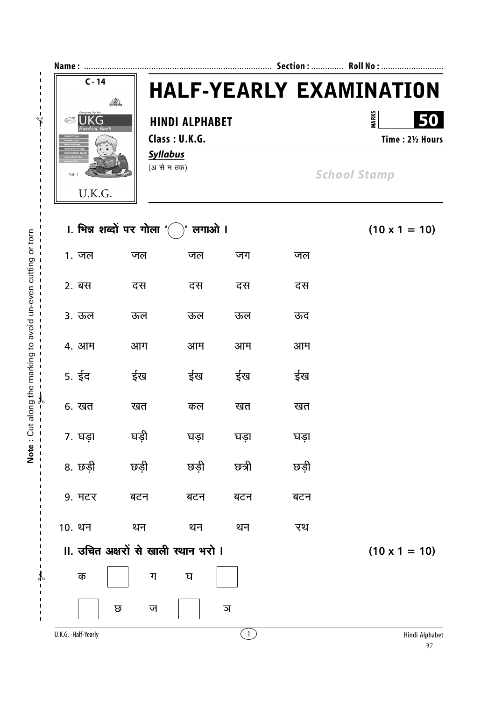

|              | ।. भिन्न शब्दों पर गोला ' $\bigcap$ | $(10 \times 1 = 10)$                 |      |       |      |                      |
|--------------|-------------------------------------|--------------------------------------|------|-------|------|----------------------|
|              | 1. जल                               | जल                                   | जल   | जग    | जल   |                      |
|              | 2. बस                               | दस                                   | दस   | दस    | दस   |                      |
|              | 3. ऊल                               | ऊल                                   | ऊल   | ऊल    | ऊद   |                      |
|              | 4. आम                               | आग                                   | आम   | आम    | आम   |                      |
|              | 5. ईद                               | ईख                                   | ईख   | ईख    | ईख   |                      |
| $\mathsf{c}$ | 6. खत                               | खत                                   | कल   | खत    | खत   |                      |
|              | 7. घड़ा                             | घड़ी                                 | घड़ा | घड़ा  | घड़ा |                      |
|              | 8. छड़ी                             | छड़ी                                 | छड़ी | छत्री | छड़ी |                      |
|              | 9. मटर                              | बटन                                  | बटन  | बटन   | बटन  |                      |
|              | 10. थन                              | थन                                   | थन   | थन    | रथ   |                      |
|              |                                     | II. उचित अक्षरों से खाली स्थान भरो । |      |       |      | $(10 \times 1 = 10)$ |
|              | क                                   | ग                                    | घ    |       |      |                      |
|              |                                     | ত<br>ज                               |      | ञ     |      |                      |
|              | U.K.G. -Half-Yearly                 |                                      |      | (1)   |      | Hindi Alphal         |

Note: Cut along the marking to avoid un-even cutting or torn

 $\mathbf{r}$ 

J.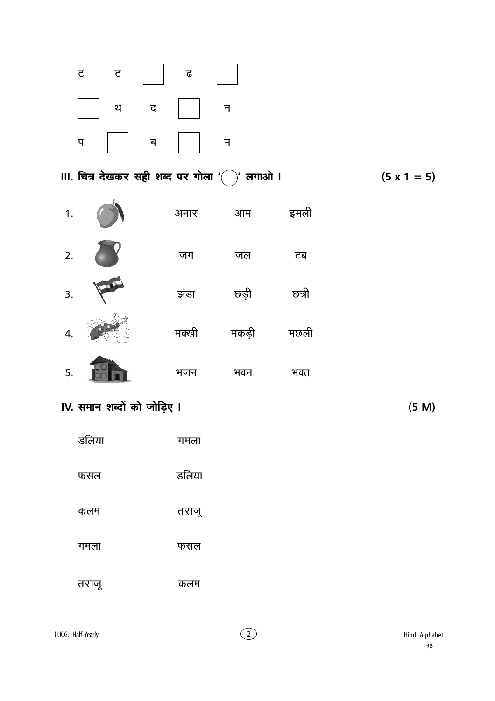

III. चित्र देखकर सही शब्द पर गोला ' $\bigl(\widehat{\phantom{a}}\bigr)$ )' लगाओ ।

इमली अनार आम जग जल टब  $\sqrt{2}$ झंडा छड़ी চ্চন্সী मछली मक्खी मकडी भजन भवन भक्त

IV. समान शब्दों को जोड़िए I

 $1.$ 

 $2.$ 

 $\overline{3}$ .

 $\overline{4}$ 

 $\overline{5}$ .

डलिया गमला डलिया फसल तराजू कलम गमला फसल तराजू कलम

 $(5 M)$ 

 $(5 \times 1 = 5)$